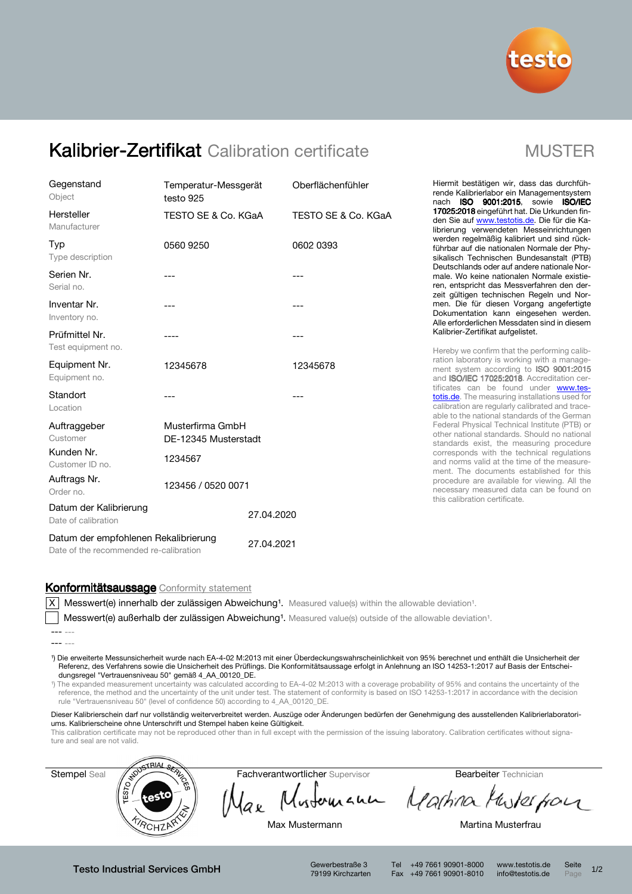

# Kalibrier-Zertifikat Calibration certificate MUSTER

| Gegenstand<br>Object                                                           | testo 925                                | Oberflächenfühler<br>Temperatur-Messgerät |          |  |
|--------------------------------------------------------------------------------|------------------------------------------|-------------------------------------------|----------|--|
| Hersteller<br>Manufacturer                                                     | TESTO SE & Co. KGaA                      | TESTO SE & Co. KGaA                       |          |  |
| Typ<br>Type description                                                        | 0560 9250                                | 0602 0393                                 |          |  |
| Serien Nr.<br>Serial no.                                                       | ---                                      | $---$                                     |          |  |
| Inventar Nr.<br>Inventory no.                                                  | ---<br>---                               |                                           |          |  |
| Prüfmittel Nr.<br>Test equipment no.                                           |                                          |                                           | ---      |  |
| Equipment Nr.<br>Equipment no.                                                 | 12345678                                 |                                           | 12345678 |  |
| Standort<br>Location                                                           | ---                                      |                                           |          |  |
| Auftraggeber<br>Customer                                                       | Musterfirma GmbH<br>DE-12345 Musterstadt |                                           |          |  |
| Kunden Nr.<br>Customer ID no.                                                  | 1234567                                  |                                           |          |  |
| Auftrags Nr.<br>Order no.                                                      | 123456 / 0520 0071                       |                                           |          |  |
| Datum der Kalibrierung<br>Date of calibration                                  |                                          | 27.04.2020                                |          |  |
| Datum der empfohlenen Rekalibrierung<br>Date of the recommended re-calibration |                                          | 27.04.2021                                |          |  |

Hiermit bestätigen wir, dass das durchführende Kalibrierlabor ein Managementsystem nach ISO 9001:2015, sowie ISO/IEC 17025:2018 eingeführt hat. Die Urkunden finden Sie auf www.testotis.de. Die für die Kalibrierung verwendeten Messeinrichtungen werden regelmäßig kalibriert und sind rückführbar auf die nationalen Normale der Physikalisch Technischen Bundesanstalt (PTB) Deutschlands oder auf andere nationale Normale. Wo keine nationalen Normale existieren, entspricht das Messverfahren den derzeit gültigen technischen Regeln und Normen. Die für diesen Vorgang angefertigte Dokumentation kann eingesehen werden. Alle erforderlichen Messdaten sind in diesem Kalibrier-Zertifikat aufgelistet.

Hereby we confirm that the performing calibration laboratory is working with a management system according to **ISO 9001:2015** and ISO/IEC 17025:2018. Accreditation certificates can be found under www.testotis.de. The measuring installations used for calibration are regularly calibrated and traceable to the national standards of the German Federal Physical Technical Institute (PTB) or other national standards. Should no national standards exist, the measuring procedure corresponds with the technical regulations and norms valid at the time of the measurement. The documents established for this procedure are available for viewing. All the necessary measured data can be found on this calibration certificate.

# Konformitätsaussage Conformity statement

 $|X|$  Messwert(e) innerhalb der zulässigen Abweichung<sup>1</sup>. Measured value(s) within the allowable deviation<sup>1</sup>.

Messwert(e) außerhalb der zulässigen Abweichung<sup>1</sup>. Measured value(s) outside of the allowable deviation<sup>1</sup>.

¹) Die erweiterte Messunsicherheit wurde nach EA-4-02 M:2013 mit einer Überdeckungswahrscheinlichkeit von 95% berechnet und enthält die Unsicherheit der Referenz, des Verfahrens sowie die Unsicherheit des Prüflings. Die Konformitätsaussage erfolgt in Anlehnung an ISO 14253-1:2017 auf Basis der Entscheidungsregel "Vertrauensniveau 50" gemäß 4\_AA\_00120\_DE.

¹) The expanded measurement uncertainty was calculated according to EA-4-02 M:2013 with a coverage probability of 95% and contains the uncertainty of the reference, the method and the uncertainty of the unit under test. The statement of conformity is based on ISO 14253-1:2017 in accordance with the decision rule "Vertrauensniveau 50" (level of confidence 50) according to 4\_AA\_00120\_DE.

Dieser Kalibrierschein darf nur vollständig weiterverbreitet werden. Auszüge oder Änderungen bedürfen der Genehmigung des ausstellenden Kalibrierlaboratoriums. Kalibrierscheine ohne Unterschrift und Stempel haben keine Gültigkeit.

This calibration certificate may not be reproduced other than in full except with the permission of the issuing laboratory. Calibration certificates without signature and seal are not valid.



Testo Industrial Services GmbH Gewerbestraße 3

79199 Kirchzarten

Tel +49 7661 90901-8000 www.testotis.de Seite 1/2 Fax +49 7661 90901-8010 info@testotis.de Page

<sup>---</sup> ---